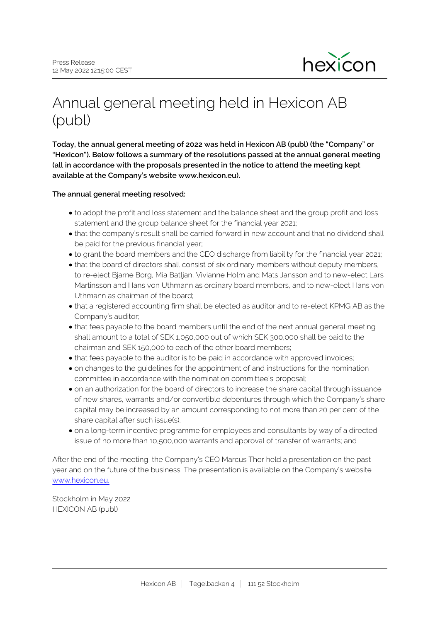

# Annual general meeting held in Hexicon AB (publ)

**Today, the annual general meeting of 2022 was held in Hexicon AB (publ) (the "Company" or "Hexicon"). Below follows a summary of the resolutions passed at the annual general meeting (all in accordance with the proposals presented in the notice to attend the meeting kept available at the Company's website www.hexicon.eu).**

## **The annual general meeting resolved:**

- to adopt the profit and loss statement and the balance sheet and the group profit and loss statement and the group balance sheet for the financial year 2021;
- that the company's result shall be carried forward in new account and that no dividend shall be paid for the previous financial year;
- to grant the board members and the CEO discharge from liability for the financial year 2021;
- that the board of directors shall consist of six ordinary members without deputy members, to re-elect Bjarne Borg, Mia Batljan, Vivianne Holm and Mats Jansson and to new-elect Lars Martinsson and Hans von Uthmann as ordinary board members, and to new-elect Hans von Uthmann as chairman of the board;
- that a registered accounting firm shall be elected as auditor and to re-elect KPMG AB as the Company's auditor;
- that fees payable to the board members until the end of the next annual general meeting shall amount to a total of SEK 1,050,000 out of which SEK 300,000 shall be paid to the chairman and SEK 150,000 to each of the other board members;
- that fees payable to the auditor is to be paid in accordance with approved invoices;
- on changes to the guidelines for the appointment of and instructions for the nomination committee in accordance with the nomination committee´s proposal;
- on an authorization for the board of directors to increase the share capital through issuance of new shares, warrants and/or convertible debentures through which the Company's share capital may be increased by an amount corresponding to not more than 20 per cent of the share capital after such issue(s).
- on a long-term incentive programme for employees and consultants by way of a directed issue of no more than 10,500,000 warrants and approval of transfer of warrants; and

After the end of the meeting, the Company's CEO Marcus Thor held a presentation on the past year and on the future of the business. The presentation is available on the Company's website [www.hexicon.eu.](http://www.hexicon.eu/)

Stockholm in May 2022 HEXICON AB (publ)